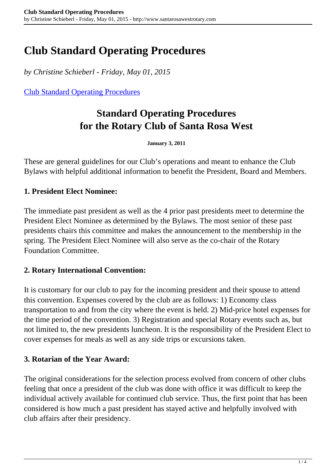# **Club Standard Operating Procedures**

*by Christine Schieberl - Friday, May 01, 2015*

[Club Standard Operating Procedures](http://www.santarosawestrotary.com/member-resources/club-standard-operating-procedures/)

# **Standard Operating Procedures for the Rotary Club of Santa Rosa West**

**January 3, 2011**

These are general guidelines for our Club's operations and meant to enhance the Club Bylaws with helpful additional information to benefit the President, Board and Members.

### **1. President Elect Nominee:**

The immediate past president as well as the 4 prior past presidents meet to determine the President Elect Nominee as determined by the Bylaws. The most senior of these past presidents chairs this committee and makes the announcement to the membership in the spring. The President Elect Nominee will also serve as the co-chair of the Rotary Foundation Committee.

#### **2. Rotary International Convention:**

It is customary for our club to pay for the incoming president and their spouse to attend this convention. Expenses covered by the club are as follows: 1) Economy class transportation to and from the city where the event is held. 2) Mid-price hotel expenses for the time period of the convention. 3) Registration and special Rotary events such as, but not limited to, the new presidents luncheon. It is the responsibility of the President Elect to cover expenses for meals as well as any side trips or excursions taken.

#### **3. Rotarian of the Year Award:**

The original considerations for the selection process evolved from concern of other clubs feeling that once a president of the club was done with office it was difficult to keep the individual actively available for continued club service. Thus, the first point that has been considered is how much a past president has stayed active and helpfully involved with club affairs after their presidency.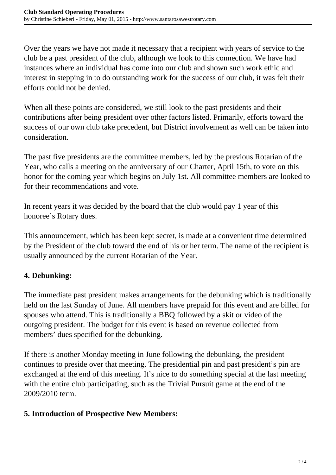Over the years we have not made it necessary that a recipient with years of service to the club be a past president of the club, although we look to this connection. We have had instances where an individual has come into our club and shown such work ethic and interest in stepping in to do outstanding work for the success of our club, it was felt their efforts could not be denied.

When all these points are considered, we still look to the past presidents and their contributions after being president over other factors listed. Primarily, efforts toward the success of our own club take precedent, but District involvement as well can be taken into consideration.

The past five presidents are the committee members, led by the previous Rotarian of the Year, who calls a meeting on the anniversary of our Charter, April 15th, to vote on this honor for the coming year which begins on July 1st. All committee members are looked to for their recommendations and vote.

In recent years it was decided by the board that the club would pay 1 year of this honoree's Rotary dues.

This announcement, which has been kept secret, is made at a convenient time determined by the President of the club toward the end of his or her term. The name of the recipient is usually announced by the current Rotarian of the Year.

# **4. Debunking:**

The immediate past president makes arrangements for the debunking which is traditionally held on the last Sunday of June. All members have prepaid for this event and are billed for spouses who attend. This is traditionally a BBQ followed by a skit or video of the outgoing president. The budget for this event is based on revenue collected from members' dues specified for the debunking.

If there is another Monday meeting in June following the debunking, the president continues to preside over that meeting. The presidential pin and past president's pin are exchanged at the end of this meeting. It's nice to do something special at the last meeting with the entire club participating, such as the Trivial Pursuit game at the end of the 2009/2010 term.

## **5. Introduction of Prospective New Members:**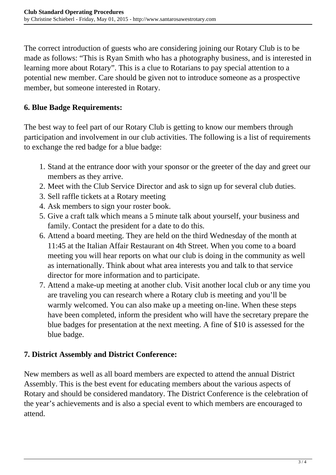The correct introduction of guests who are considering joining our Rotary Club is to be made as follows: "This is Ryan Smith who has a photography business, and is interested in learning more about Rotary". This is a clue to Rotarians to pay special attention to a potential new member. Care should be given not to introduce someone as a prospective member, but someone interested in Rotary.

## **6. Blue Badge Requirements:**

The best way to feel part of our Rotary Club is getting to know our members through participation and involvement in our club activities. The following is a list of requirements to exchange the red badge for a blue badge:

- 1. Stand at the entrance door with your sponsor or the greeter of the day and greet our members as they arrive.
- 2. Meet with the Club Service Director and ask to sign up for several club duties.
- 3. Sell raffle tickets at a Rotary meeting
- 4. Ask members to sign your roster book.
- 5. Give a craft talk which means a 5 minute talk about yourself, your business and family. Contact the president for a date to do this.
- 6. Attend a board meeting. They are held on the third Wednesday of the month at 11:45 at the Italian Affair Restaurant on 4th Street. When you come to a board meeting you will hear reports on what our club is doing in the community as well as internationally. Think about what area interests you and talk to that service director for more information and to participate.
- 7. Attend a make-up meeting at another club. Visit another local club or any time you are traveling you can research where a Rotary club is meeting and you'll be warmly welcomed. You can also make up a meeting on-line. When these steps have been completed, inform the president who will have the secretary prepare the blue badges for presentation at the next meeting. A fine of \$10 is assessed for the blue badge.

## **7. District Assembly and District Conference:**

New members as well as all board members are expected to attend the annual District Assembly. This is the best event for educating members about the various aspects of Rotary and should be considered mandatory. The District Conference is the celebration of the year's achievements and is also a special event to which members are encouraged to attend.